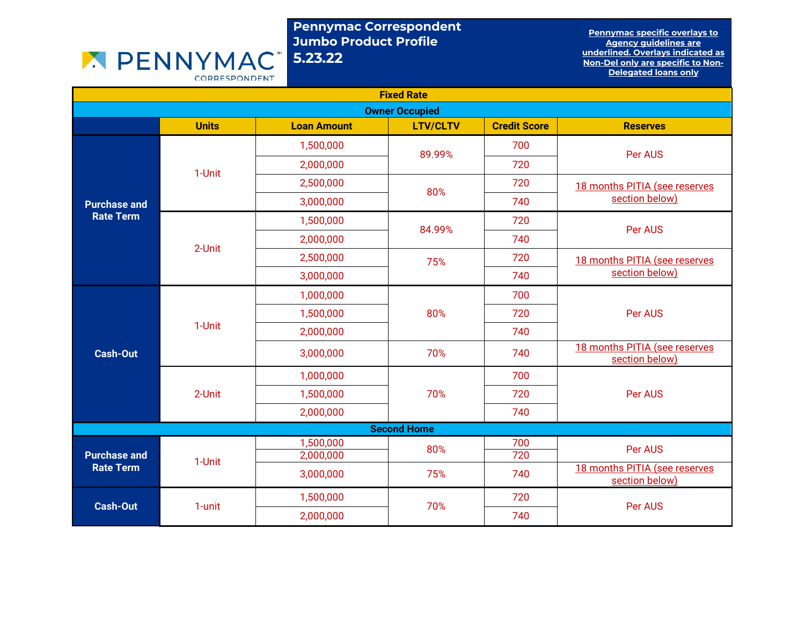## Pennymac Correspondent Jumbo Product Profile 5.23.22

Pennymac specific overlays to Agency guidelines are underlined. Overlays indicated as Non-Del only are specific to Non-Delegated loans only

CORRESPONDENT

**X PENNYMAC** 

| <b>Fixed Rate</b>                       |                  |                        |                 |                     |                                                 |         |
|-----------------------------------------|------------------|------------------------|-----------------|---------------------|-------------------------------------------------|---------|
| <b>Owner Occupied</b>                   |                  |                        |                 |                     |                                                 |         |
|                                         | <b>Units</b>     | <b>Loan Amount</b>     | <b>LTV/CLTV</b> | <b>Credit Score</b> | <b>Reserves</b>                                 |         |
| <b>Purchase and</b>                     |                  | 1,500,000              | 89.99%          | 700                 | Per AUS                                         |         |
|                                         | 1-Unit           | 2,000,000              |                 | 720                 |                                                 |         |
|                                         |                  | 2,500,000              | 80%             | 720                 | 18 months PITIA (see reserves                   |         |
|                                         |                  | 3,000,000              |                 | 740                 | section below)                                  |         |
| <b>Rate Term</b>                        |                  | 1,500,000              | 84.99%          | 720                 | <b>Per AUS</b>                                  |         |
|                                         | 2-Unit           | 2,000,000              |                 | 740                 |                                                 |         |
|                                         |                  | 2,500,000              | 75%             | 720                 | 18 months PITIA (see reserves<br>section below) |         |
|                                         |                  | 3,000,000              |                 | 740                 |                                                 |         |
|                                         | 1-Unit<br>2-Unit | 1,000,000              |                 | 700                 |                                                 |         |
|                                         |                  | 1,500,000              | 80%             | 720                 | <b>Per AUS</b>                                  |         |
|                                         |                  | 2,000,000              |                 | 740                 |                                                 |         |
| <b>Cash-Out</b>                         |                  | 3,000,000              | 70%             | 740                 | 18 months PITIA (see reserves<br>section below) |         |
|                                         |                  | 1,000,000              | 70%             | 700                 |                                                 |         |
|                                         |                  | 1,500,000              |                 |                     | 720                                             | Per AUS |
|                                         |                  | 2,000,000              |                 | 740                 |                                                 |         |
| <b>Second Home</b>                      |                  |                        |                 |                     |                                                 |         |
| <b>Purchase and</b><br><b>Rate Term</b> | 1-Unit           | 1,500,000<br>2,000,000 | 80%             | 700<br>720          | Per AUS                                         |         |
|                                         |                  | 3,000,000              | 75%             | 740                 | 18 months PITIA (see reserves<br>section below) |         |
|                                         |                  | 1,500,000              | 70%             | 720                 |                                                 |         |
| <b>Cash-Out</b>                         | 1-unit           | 2,000,000              |                 |                     | 740                                             | Per AUS |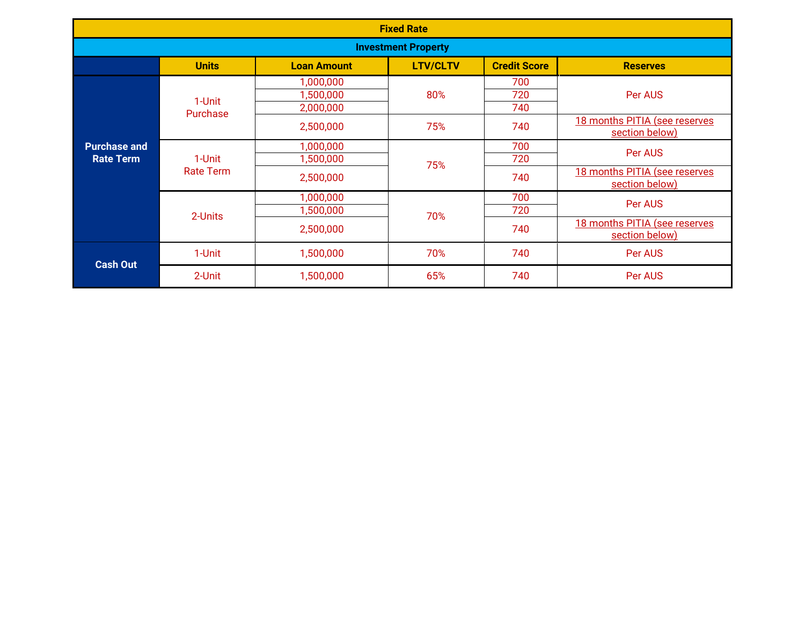| <b>Fixed Rate</b>                       |                            |                                     |                 |                     |                                                 |
|-----------------------------------------|----------------------------|-------------------------------------|-----------------|---------------------|-------------------------------------------------|
| <b>Investment Property</b>              |                            |                                     |                 |                     |                                                 |
|                                         | <b>Units</b>               | <b>Loan Amount</b>                  | <b>LTV/CLTV</b> | <b>Credit Score</b> | <b>Reserves</b>                                 |
|                                         | 1-Unit<br>Purchase         | 1,000,000<br>1,500,000<br>2,000,000 | 80%             | 700<br>720<br>740   | Per AUS                                         |
|                                         |                            | 2,500,000                           | 75%             | 740                 | 18 months PITIA (see reserves<br>section below) |
| <b>Purchase and</b><br><b>Rate Term</b> | 1-Unit<br><b>Rate Term</b> | 1,000,000<br>1,500,000              | 75%             | 700<br>720          | Per AUS                                         |
|                                         |                            | 2,500,000                           |                 | 740                 | 18 months PITIA (see reserves<br>section below) |
|                                         | 2-Units                    | 1,000,000<br>1,500,000              | 70%             | 700<br>720          | Per AUS                                         |
|                                         |                            | 2,500,000                           |                 | 740                 | 18 months PITIA (see reserves<br>section below) |
| <b>Cash Out</b>                         | 1-Unit                     | 1,500,000                           | 70%             | 740                 | Per AUS                                         |
|                                         | 2-Unit                     | 1,500,000                           | 65%             | 740                 | Per AUS                                         |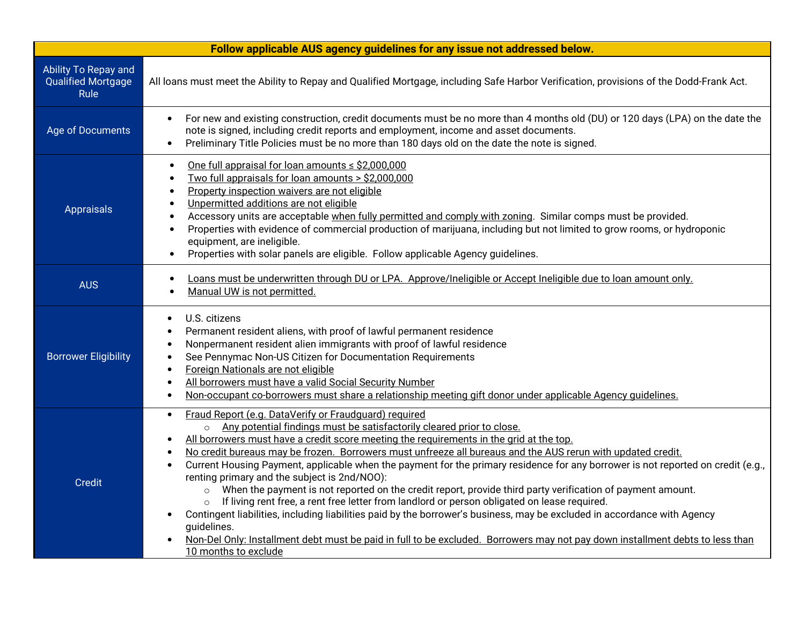|                                                                  | Follow applicable AUS agency guidelines for any issue not addressed below.                                                                                                                                                                                                                                                                                                                                                                                                                                                                                                                                                                                                                                                                                                                                                                                                                                                                                                                                                                                                                     |
|------------------------------------------------------------------|------------------------------------------------------------------------------------------------------------------------------------------------------------------------------------------------------------------------------------------------------------------------------------------------------------------------------------------------------------------------------------------------------------------------------------------------------------------------------------------------------------------------------------------------------------------------------------------------------------------------------------------------------------------------------------------------------------------------------------------------------------------------------------------------------------------------------------------------------------------------------------------------------------------------------------------------------------------------------------------------------------------------------------------------------------------------------------------------|
| Ability To Repay and<br><b>Qualified Mortgage</b><br><b>Rule</b> | All loans must meet the Ability to Repay and Qualified Mortgage, including Safe Harbor Verification, provisions of the Dodd-Frank Act.                                                                                                                                                                                                                                                                                                                                                                                                                                                                                                                                                                                                                                                                                                                                                                                                                                                                                                                                                         |
| Age of Documents                                                 | For new and existing construction, credit documents must be no more than 4 months old (DU) or 120 days (LPA) on the date the<br>$\bullet$<br>note is signed, including credit reports and employment, income and asset documents.<br>Preliminary Title Policies must be no more than 180 days old on the date the note is signed.<br>$\bullet$                                                                                                                                                                                                                                                                                                                                                                                                                                                                                                                                                                                                                                                                                                                                                 |
| Appraisals                                                       | One full appraisal for loan amounts $\leq$ \$2,000,000<br>$\bullet$<br>Two full appraisals for loan amounts > \$2,000,000<br>$\bullet$<br>Property inspection waivers are not eligible<br>$\bullet$<br>Unpermitted additions are not eligible<br>$\bullet$<br>Accessory units are acceptable when fully permitted and comply with zoning. Similar comps must be provided.<br>$\bullet$<br>Properties with evidence of commercial production of marijuana, including but not limited to grow rooms, or hydroponic<br>$\bullet$<br>equipment, are ineligible.<br>Properties with solar panels are eligible. Follow applicable Agency guidelines.<br>$\bullet$                                                                                                                                                                                                                                                                                                                                                                                                                                    |
| <b>AUS</b>                                                       | Loans must be underwritten through DU or LPA. Approve/Ineligible or Accept Ineligible due to loan amount only.<br>$\bullet$<br>Manual UW is not permitted.<br>$\bullet$                                                                                                                                                                                                                                                                                                                                                                                                                                                                                                                                                                                                                                                                                                                                                                                                                                                                                                                        |
| <b>Borrower Eligibility</b>                                      | U.S. citizens<br>$\bullet$<br>Permanent resident aliens, with proof of lawful permanent residence<br>Nonpermanent resident alien immigrants with proof of lawful residence<br>$\bullet$<br>See Pennymac Non-US Citizen for Documentation Requirements<br>$\bullet$<br>Foreign Nationals are not eligible<br>All borrowers must have a valid Social Security Number<br>$\bullet$<br>Non-occupant co-borrowers must share a relationship meeting gift donor under applicable Agency guidelines.<br>$\bullet$                                                                                                                                                                                                                                                                                                                                                                                                                                                                                                                                                                                     |
| <b>Credit</b>                                                    | Fraud Report (e.g. DataVerify or Fraudquard) required<br>$\bullet$<br>Any potential findings must be satisfactorily cleared prior to close.<br>$\circ$<br>All borrowers must have a credit score meeting the requirements in the grid at the top.<br>$\bullet$<br>No credit bureaus may be frozen. Borrowers must unfreeze all bureaus and the AUS rerun with updated credit.<br>Current Housing Payment, applicable when the payment for the primary residence for any borrower is not reported on credit (e.g.,<br>renting primary and the subject is 2nd/NOO):<br>When the payment is not reported on the credit report, provide third party verification of payment amount.<br>$\circ$<br>If living rent free, a rent free letter from landlord or person obligated on lease required.<br>Contingent liabilities, including liabilities paid by the borrower's business, may be excluded in accordance with Agency<br>quidelines.<br>Non-Del Only: Installment debt must be paid in full to be excluded. Borrowers may not pay down installment debts to less than<br>10 months to exclude |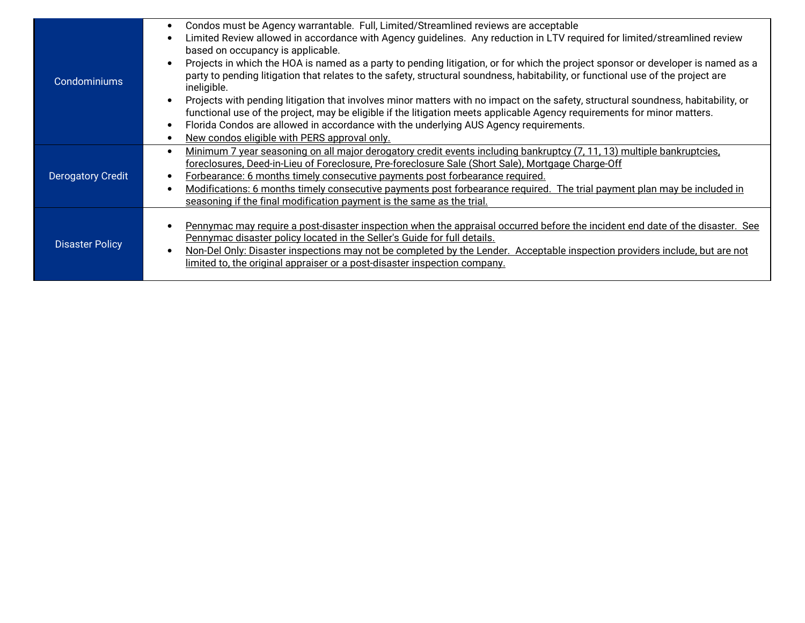| Condominiums           | Condos must be Agency warrantable. Full, Limited/Streamlined reviews are acceptable<br>$\bullet$<br>Limited Review allowed in accordance with Agency guidelines. Any reduction in LTV required for limited/streamlined review<br>$\bullet$<br>based on occupancy is applicable.<br>Projects in which the HOA is named as a party to pending litigation, or for which the project sponsor or developer is named as a<br>$\bullet$<br>party to pending litigation that relates to the safety, structural soundness, habitability, or functional use of the project are<br>ineligible.<br>Projects with pending litigation that involves minor matters with no impact on the safety, structural soundness, habitability, or<br>$\bullet$<br>functional use of the project, may be eligible if the litigation meets applicable Agency requirements for minor matters.<br>Florida Condos are allowed in accordance with the underlying AUS Agency requirements.<br>$\bullet$<br>New condos eligible with PERS approval only.<br>$\bullet$ |
|------------------------|--------------------------------------------------------------------------------------------------------------------------------------------------------------------------------------------------------------------------------------------------------------------------------------------------------------------------------------------------------------------------------------------------------------------------------------------------------------------------------------------------------------------------------------------------------------------------------------------------------------------------------------------------------------------------------------------------------------------------------------------------------------------------------------------------------------------------------------------------------------------------------------------------------------------------------------------------------------------------------------------------------------------------------------|
| Derogatory Credit      | Minimum 7 year seasoning on all major derogatory credit events including bankruptcy (7, 11, 13) multiple bankruptcies,<br>$\bullet$<br>foreclosures, Deed-in-Lieu of Foreclosure, Pre-foreclosure Sale (Short Sale), Mortgage Charge-Off<br>Forbearance: 6 months timely consecutive payments post forbearance required.<br>$\bullet$<br>Modifications: 6 months timely consecutive payments post forbearance required. The trial payment plan may be included in<br>$\bullet$<br>seasoning if the final modification payment is the same as the trial.                                                                                                                                                                                                                                                                                                                                                                                                                                                                              |
| <b>Disaster Policy</b> | Pennymac may require a post-disaster inspection when the appraisal occurred before the incident end date of the disaster. See<br>$\bullet$<br>Pennymac disaster policy located in the Seller's Guide for full details.<br>Non-Del Only: Disaster inspections may not be completed by the Lender. Acceptable inspection providers include, but are not<br>$\bullet$<br>limited to, the original appraiser or a post-disaster inspection company.                                                                                                                                                                                                                                                                                                                                                                                                                                                                                                                                                                                      |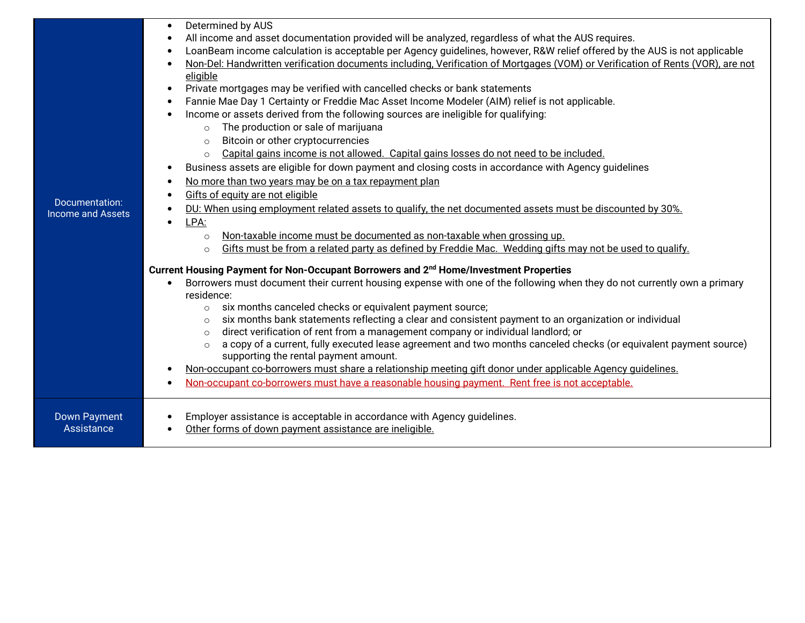| Documentation:<br><b>Income and Assets</b> | Determined by AUS<br>All income and asset documentation provided will be analyzed, regardless of what the AUS requires.<br>LoanBeam income calculation is acceptable per Agency guidelines, however, R&W relief offered by the AUS is not applicable<br>$\bullet$<br>Non-Del: Handwritten verification documents including, Verification of Mortgages (VOM) or Verification of Rents (VOR), are not<br>eligible<br>Private mortgages may be verified with cancelled checks or bank statements<br>$\bullet$<br>Fannie Mae Day 1 Certainty or Freddie Mac Asset Income Modeler (AIM) relief is not applicable.<br>$\bullet$<br>Income or assets derived from the following sources are ineligible for qualifying:<br>The production or sale of marijuana<br>$\circ$<br>Bitcoin or other cryptocurrencies<br>$\circ$<br>Capital gains income is not allowed. Capital gains losses do not need to be included.<br>$\circ$<br>Business assets are eligible for down payment and closing costs in accordance with Agency guidelines<br>No more than two years may be on a tax repayment plan<br>$\bullet$<br>Gifts of equity are not eligible<br>DU: When using employment related assets to qualify, the net documented assets must be discounted by 30%.<br>LPA:<br>Non-taxable income must be documented as non-taxable when grossing up.<br>$\circ$<br>Gifts must be from a related party as defined by Freddie Mac. Wedding gifts may not be used to qualify.<br>$\circ$<br>Current Housing Payment for Non-Occupant Borrowers and 2 <sup>nd</sup> Home/Investment Properties<br>Borrowers must document their current housing expense with one of the following when they do not currently own a primary<br>residence:<br>six months canceled checks or equivalent payment source;<br>$\circ$<br>six months bank statements reflecting a clear and consistent payment to an organization or individual<br>$\circ$<br>direct verification of rent from a management company or individual landlord; or<br>$\circ$<br>a copy of a current, fully executed lease agreement and two months canceled checks (or equivalent payment source)<br>$\circ$<br>supporting the rental payment amount.<br>Non-occupant co-borrowers must share a relationship meeting gift donor under applicable Agency guidelines.<br>Non-occupant co-borrowers must have a reasonable housing payment. Rent free is not acceptable. |
|--------------------------------------------|-----------------------------------------------------------------------------------------------------------------------------------------------------------------------------------------------------------------------------------------------------------------------------------------------------------------------------------------------------------------------------------------------------------------------------------------------------------------------------------------------------------------------------------------------------------------------------------------------------------------------------------------------------------------------------------------------------------------------------------------------------------------------------------------------------------------------------------------------------------------------------------------------------------------------------------------------------------------------------------------------------------------------------------------------------------------------------------------------------------------------------------------------------------------------------------------------------------------------------------------------------------------------------------------------------------------------------------------------------------------------------------------------------------------------------------------------------------------------------------------------------------------------------------------------------------------------------------------------------------------------------------------------------------------------------------------------------------------------------------------------------------------------------------------------------------------------------------------------------------------------------------------------------------------------------------------------------------------------------------------------------------------------------------------------------------------------------------------------------------------------------------------------------------------------------------------------------------------------------------------------------------------------------------------------------------------------------------------------------------------------------------------------------------|
| <b>Down Payment</b>                        | Employer assistance is acceptable in accordance with Agency guidelines.                                                                                                                                                                                                                                                                                                                                                                                                                                                                                                                                                                                                                                                                                                                                                                                                                                                                                                                                                                                                                                                                                                                                                                                                                                                                                                                                                                                                                                                                                                                                                                                                                                                                                                                                                                                                                                                                                                                                                                                                                                                                                                                                                                                                                                                                                                                                   |
| <b>Assistance</b>                          | Other forms of down payment assistance are ineligible.                                                                                                                                                                                                                                                                                                                                                                                                                                                                                                                                                                                                                                                                                                                                                                                                                                                                                                                                                                                                                                                                                                                                                                                                                                                                                                                                                                                                                                                                                                                                                                                                                                                                                                                                                                                                                                                                                                                                                                                                                                                                                                                                                                                                                                                                                                                                                    |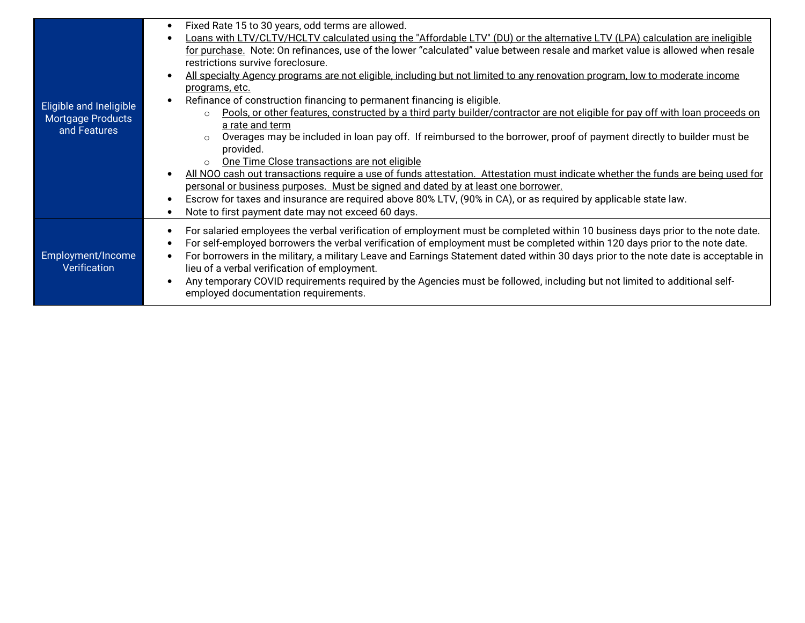|                                   | Fixed Rate 15 to 30 years, odd terms are allowed.<br>$\bullet$                                                                                   |
|-----------------------------------|--------------------------------------------------------------------------------------------------------------------------------------------------|
|                                   | Loans with LTV/CLTV/HCLTV calculated using the "Affordable LTV" (DU) or the alternative LTV (LPA) calculation are ineligible                     |
|                                   | for purchase. Note: On refinances, use of the lower "calculated" value between resale and market value is allowed when resale                    |
|                                   | restrictions survive foreclosure.                                                                                                                |
|                                   | All specialty Agency programs are not eligible, including but not limited to any renovation program, low to moderate income                      |
|                                   | programs, etc.                                                                                                                                   |
| Eligible and Ineligible           | Refinance of construction financing to permanent financing is eligible.<br>$\bullet$                                                             |
| <b>Mortgage Products</b>          | Pools, or other features, constructed by a third party builder/contractor are not eligible for pay off with loan proceeds on<br>$\Omega$         |
| and Features                      | a rate and term                                                                                                                                  |
|                                   | Overages may be included in loan pay off. If reimbursed to the borrower, proof of payment directly to builder must be<br>$\Omega$                |
|                                   | provided.                                                                                                                                        |
|                                   | One Time Close transactions are not eligible<br>$\Omega$                                                                                         |
|                                   | All NOO cash out transactions require a use of funds attestation. Attestation must indicate whether the funds are being used for                 |
|                                   | personal or business purposes. Must be signed and dated by at least one borrower.                                                                |
|                                   | Escrow for taxes and insurance are required above 80% LTV, (90% in CA), or as required by applicable state law.<br>٠                             |
|                                   | Note to first payment date may not exceed 60 days.<br>$\bullet$                                                                                  |
|                                   | For salaried employees the verbal verification of employment must be completed within 10 business days prior to the note date.<br>$\bullet$      |
| Employment/Income<br>Verification | For self-employed borrowers the verbal verification of employment must be completed within 120 days prior to the note date.<br>$\bullet$         |
|                                   | For borrowers in the military, a military Leave and Earnings Statement dated within 30 days prior to the note date is acceptable in<br>$\bullet$ |
|                                   | lieu of a verbal verification of employment.                                                                                                     |
|                                   | Any temporary COVID requirements required by the Agencies must be followed, including but not limited to additional self-<br>$\bullet$           |
|                                   |                                                                                                                                                  |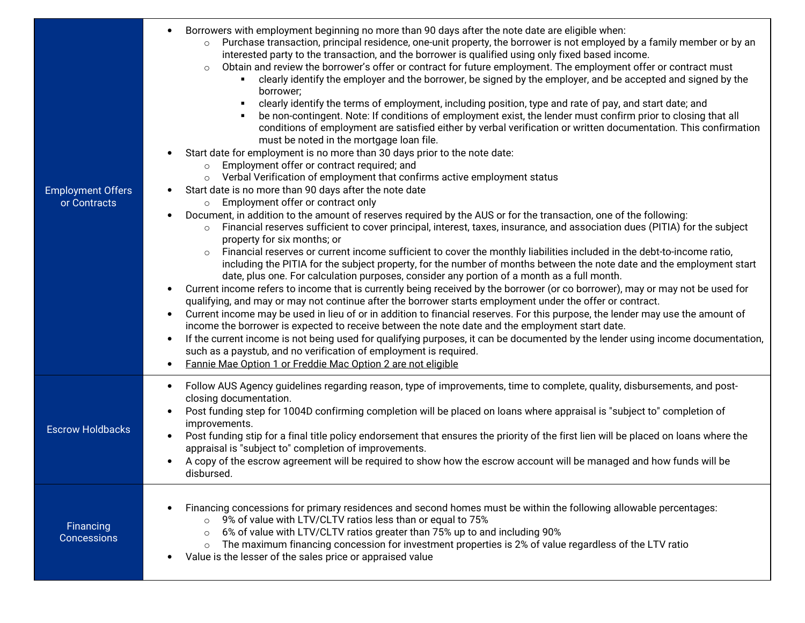| <b>Employment Offers</b><br>or Contracts | Borrowers with employment beginning no more than 90 days after the note date are eligible when:<br>Purchase transaction, principal residence, one-unit property, the borrower is not employed by a family member or by an<br>$\circ$<br>interested party to the transaction, and the borrower is qualified using only fixed based income.<br>Obtain and review the borrower's offer or contract for future employment. The employment offer or contract must<br>$\circ$<br>clearly identify the employer and the borrower, be signed by the employer, and be accepted and signed by the<br>borrower;<br>clearly identify the terms of employment, including position, type and rate of pay, and start date; and<br>be non-contingent. Note: If conditions of employment exist, the lender must confirm prior to closing that all<br>conditions of employment are satisfied either by verbal verification or written documentation. This confirmation<br>must be noted in the mortgage loan file.<br>Start date for employment is no more than 30 days prior to the note date:<br>Employment offer or contract required; and<br>$\circ$<br>Verbal Verification of employment that confirms active employment status<br>Start date is no more than 90 days after the note date<br>Employment offer or contract only<br>$\circ$<br>Document, in addition to the amount of reserves required by the AUS or for the transaction, one of the following:<br>Financial reserves sufficient to cover principal, interest, taxes, insurance, and association dues (PITIA) for the subject<br>$\circ$<br>property for six months; or<br>Financial reserves or current income sufficient to cover the monthly liabilities included in the debt-to-income ratio,<br>$\circ$<br>including the PITIA for the subject property, for the number of months between the note date and the employment start<br>date, plus one. For calculation purposes, consider any portion of a month as a full month.<br>Current income refers to income that is currently being received by the borrower (or co borrower), may or may not be used for<br>qualifying, and may or may not continue after the borrower starts employment under the offer or contract.<br>Current income may be used in lieu of or in addition to financial reserves. For this purpose, the lender may use the amount of<br>income the borrower is expected to receive between the note date and the employment start date.<br>If the current income is not being used for qualifying purposes, it can be documented by the lender using income documentation,<br>$\bullet$<br>such as a paystub, and no verification of employment is required.<br>Fannie Mae Option 1 or Freddie Mac Option 2 are not eligible |
|------------------------------------------|---------------------------------------------------------------------------------------------------------------------------------------------------------------------------------------------------------------------------------------------------------------------------------------------------------------------------------------------------------------------------------------------------------------------------------------------------------------------------------------------------------------------------------------------------------------------------------------------------------------------------------------------------------------------------------------------------------------------------------------------------------------------------------------------------------------------------------------------------------------------------------------------------------------------------------------------------------------------------------------------------------------------------------------------------------------------------------------------------------------------------------------------------------------------------------------------------------------------------------------------------------------------------------------------------------------------------------------------------------------------------------------------------------------------------------------------------------------------------------------------------------------------------------------------------------------------------------------------------------------------------------------------------------------------------------------------------------------------------------------------------------------------------------------------------------------------------------------------------------------------------------------------------------------------------------------------------------------------------------------------------------------------------------------------------------------------------------------------------------------------------------------------------------------------------------------------------------------------------------------------------------------------------------------------------------------------------------------------------------------------------------------------------------------------------------------------------------------------------------------------------------------------------------------------------------------------------------------------------------------------------------------------------------------------------------------------------------------------------------------------------------------|
| <b>Escrow Holdbacks</b>                  | Follow AUS Agency guidelines regarding reason, type of improvements, time to complete, quality, disbursements, and post-<br>٠<br>closing documentation.<br>Post funding step for 1004D confirming completion will be placed on loans where appraisal is "subject to" completion of<br>improvements.<br>Post funding stip for a final title policy endorsement that ensures the priority of the first lien will be placed on loans where the<br>appraisal is "subject to" completion of improvements.<br>A copy of the escrow agreement will be required to show how the escrow account will be managed and how funds will be<br>disbursed.                                                                                                                                                                                                                                                                                                                                                                                                                                                                                                                                                                                                                                                                                                                                                                                                                                                                                                                                                                                                                                                                                                                                                                                                                                                                                                                                                                                                                                                                                                                                                                                                                                                                                                                                                                                                                                                                                                                                                                                                                                                                                                                    |
| Financing<br>Concessions                 | Financing concessions for primary residences and second homes must be within the following allowable percentages:<br>9% of value with LTV/CLTV ratios less than or equal to 75%<br>$\circ$<br>6% of value with LTV/CLTV ratios greater than 75% up to and including 90%<br>$\circ$<br>The maximum financing concession for investment properties is 2% of value regardless of the LTV ratio<br>$\circ$<br>Value is the lesser of the sales price or appraised value                                                                                                                                                                                                                                                                                                                                                                                                                                                                                                                                                                                                                                                                                                                                                                                                                                                                                                                                                                                                                                                                                                                                                                                                                                                                                                                                                                                                                                                                                                                                                                                                                                                                                                                                                                                                                                                                                                                                                                                                                                                                                                                                                                                                                                                                                           |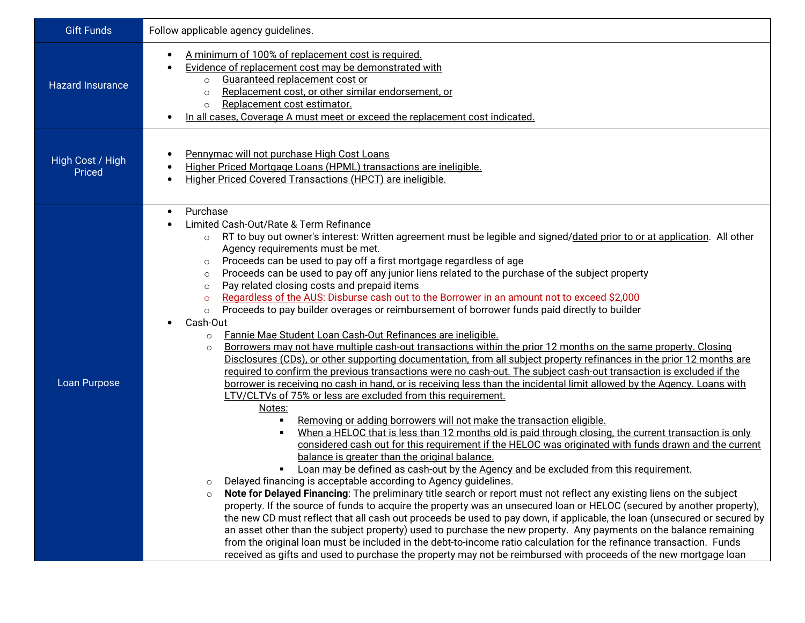| <b>Gift Funds</b>          | Follow applicable agency guidelines.                                                                                                                                                                                                                                                                                                                                                                                                                                                                                                                                                                                                                                                                                                                                                                                                                                                                                                                                                                                                                                                                                                                                                                                                                                                                                                                                                                                                                                                                                                                                                                                                                                                                                                                                                                                                                                                                                                                                                                                                                                                                                                                                                                                                                                                                                                                                                                                                                                                                                                                                                                                                                                                                       |  |  |
|----------------------------|------------------------------------------------------------------------------------------------------------------------------------------------------------------------------------------------------------------------------------------------------------------------------------------------------------------------------------------------------------------------------------------------------------------------------------------------------------------------------------------------------------------------------------------------------------------------------------------------------------------------------------------------------------------------------------------------------------------------------------------------------------------------------------------------------------------------------------------------------------------------------------------------------------------------------------------------------------------------------------------------------------------------------------------------------------------------------------------------------------------------------------------------------------------------------------------------------------------------------------------------------------------------------------------------------------------------------------------------------------------------------------------------------------------------------------------------------------------------------------------------------------------------------------------------------------------------------------------------------------------------------------------------------------------------------------------------------------------------------------------------------------------------------------------------------------------------------------------------------------------------------------------------------------------------------------------------------------------------------------------------------------------------------------------------------------------------------------------------------------------------------------------------------------------------------------------------------------------------------------------------------------------------------------------------------------------------------------------------------------------------------------------------------------------------------------------------------------------------------------------------------------------------------------------------------------------------------------------------------------------------------------------------------------------------------------------------------------|--|--|
| <b>Hazard Insurance</b>    | A minimum of 100% of replacement cost is required.<br>Evidence of replacement cost may be demonstrated with<br>Guaranteed replacement cost or<br>$\circ$<br>Replacement cost, or other similar endorsement, or<br>$\Omega$<br>Replacement cost estimator.<br>$\circ$<br>In all cases. Coverage A must meet or exceed the replacement cost indicated.                                                                                                                                                                                                                                                                                                                                                                                                                                                                                                                                                                                                                                                                                                                                                                                                                                                                                                                                                                                                                                                                                                                                                                                                                                                                                                                                                                                                                                                                                                                                                                                                                                                                                                                                                                                                                                                                                                                                                                                                                                                                                                                                                                                                                                                                                                                                                       |  |  |
| High Cost / High<br>Priced | Pennymac will not purchase High Cost Loans<br>Higher Priced Mortgage Loans (HPML) transactions are ineligible.<br>Higher Priced Covered Transactions (HPCT) are ineligible.<br>$\bullet$                                                                                                                                                                                                                                                                                                                                                                                                                                                                                                                                                                                                                                                                                                                                                                                                                                                                                                                                                                                                                                                                                                                                                                                                                                                                                                                                                                                                                                                                                                                                                                                                                                                                                                                                                                                                                                                                                                                                                                                                                                                                                                                                                                                                                                                                                                                                                                                                                                                                                                                   |  |  |
| Loan Purpose               | Purchase<br>$\bullet$<br>Limited Cash-Out/Rate & Term Refinance<br>RT to buy out owner's interest: Written agreement must be legible and signed/dated prior to or at application. All other<br>$\circ$<br>Agency requirements must be met.<br>Proceeds can be used to pay off a first mortgage regardless of age<br>$\circ$<br>Proceeds can be used to pay off any junior liens related to the purchase of the subject property<br>$\circ$<br>Pay related closing costs and prepaid items<br>$\circ$<br>Regardless of the AUS: Disburse cash out to the Borrower in an amount not to exceed \$2,000<br>$\circ$<br>Proceeds to pay builder overages or reimbursement of borrower funds paid directly to builder<br>$\circ$<br>Cash-Out<br>Fannie Mae Student Loan Cash-Out Refinances are ineligible.<br>$\circ$<br>Borrowers may not have multiple cash-out transactions within the prior 12 months on the same property. Closing<br>$\circ$<br>Disclosures (CDs), or other supporting documentation, from all subject property refinances in the prior 12 months are<br>required to confirm the previous transactions were no cash-out. The subject cash-out transaction is excluded if the<br>borrower is receiving no cash in hand, or is receiving less than the incidental limit allowed by the Agency. Loans with<br>LTV/CLTVs of 75% or less are excluded from this requirement.<br>Notes:<br>Removing or adding borrowers will not make the transaction eligible.<br>٠<br>When a HELOC that is less than 12 months old is paid through closing, the current transaction is only<br>$\blacksquare$<br>considered cash out for this requirement if the HELOC was originated with funds drawn and the current<br>balance is greater than the original balance.<br>Loan may be defined as cash-out by the Agency and be excluded from this requirement.<br>٠<br>Delayed financing is acceptable according to Agency guidelines.<br>$\circ$<br>Note for Delayed Financing: The preliminary title search or report must not reflect any existing liens on the subject<br>$\circ$<br>property. If the source of funds to acquire the property was an unsecured loan or HELOC (secured by another property),<br>the new CD must reflect that all cash out proceeds be used to pay down, if applicable, the loan (unsecured or secured by<br>an asset other than the subject property) used to purchase the new property. Any payments on the balance remaining<br>from the original loan must be included in the debt-to-income ratio calculation for the refinance transaction. Funds<br>received as gifts and used to purchase the property may not be reimbursed with proceeds of the new mortgage loan |  |  |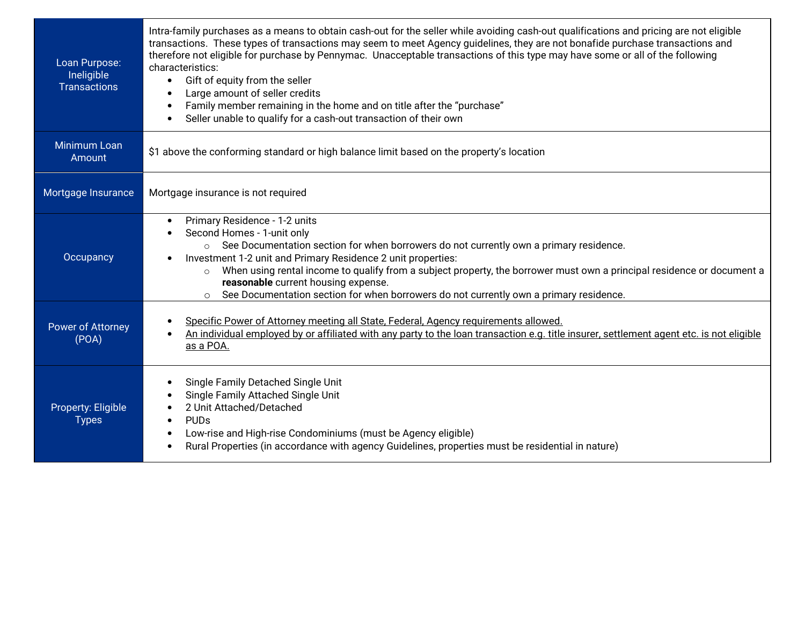| Loan Purpose:<br>Ineligible<br><b>Transactions</b> | Intra-family purchases as a means to obtain cash-out for the seller while avoiding cash-out qualifications and pricing are not eligible<br>transactions. These types of transactions may seem to meet Agency guidelines, they are not bonafide purchase transactions and<br>therefore not eligible for purchase by Pennymac. Unacceptable transactions of this type may have some or all of the following<br>characteristics:<br>Gift of equity from the seller<br>$\bullet$<br>Large amount of seller credits<br>Family member remaining in the home and on title after the "purchase"<br>Seller unable to qualify for a cash-out transaction of their own |  |  |
|----------------------------------------------------|-------------------------------------------------------------------------------------------------------------------------------------------------------------------------------------------------------------------------------------------------------------------------------------------------------------------------------------------------------------------------------------------------------------------------------------------------------------------------------------------------------------------------------------------------------------------------------------------------------------------------------------------------------------|--|--|
| Minimum Loan<br>Amount                             | \$1 above the conforming standard or high balance limit based on the property's location                                                                                                                                                                                                                                                                                                                                                                                                                                                                                                                                                                    |  |  |
| Mortgage Insurance                                 | Mortgage insurance is not required                                                                                                                                                                                                                                                                                                                                                                                                                                                                                                                                                                                                                          |  |  |
| Occupancy                                          | Primary Residence - 1-2 units<br>$\bullet$<br>Second Homes - 1-unit only<br>o See Documentation section for when borrowers do not currently own a primary residence.<br>Investment 1-2 unit and Primary Residence 2 unit properties:<br>When using rental income to qualify from a subject property, the borrower must own a principal residence or document a<br>$\circ$<br>reasonable current housing expense.<br>See Documentation section for when borrowers do not currently own a primary residence.<br>$\circ$                                                                                                                                       |  |  |
| <b>Power of Attorney</b><br>(POA)                  | Specific Power of Attorney meeting all State, Federal, Agency requirements allowed.<br>An individual employed by or affiliated with any party to the loan transaction e.g. title insurer, settlement agent etc. is not eligible<br>as a POA.                                                                                                                                                                                                                                                                                                                                                                                                                |  |  |
| Property: Eligible<br><b>Types</b>                 | Single Family Detached Single Unit<br>Single Family Attached Single Unit<br>2 Unit Attached/Detached<br><b>PUD<sub>s</sub></b><br>$\bullet$<br>Low-rise and High-rise Condominiums (must be Agency eligible)<br>Rural Properties (in accordance with agency Guidelines, properties must be residential in nature)<br>$\bullet$                                                                                                                                                                                                                                                                                                                              |  |  |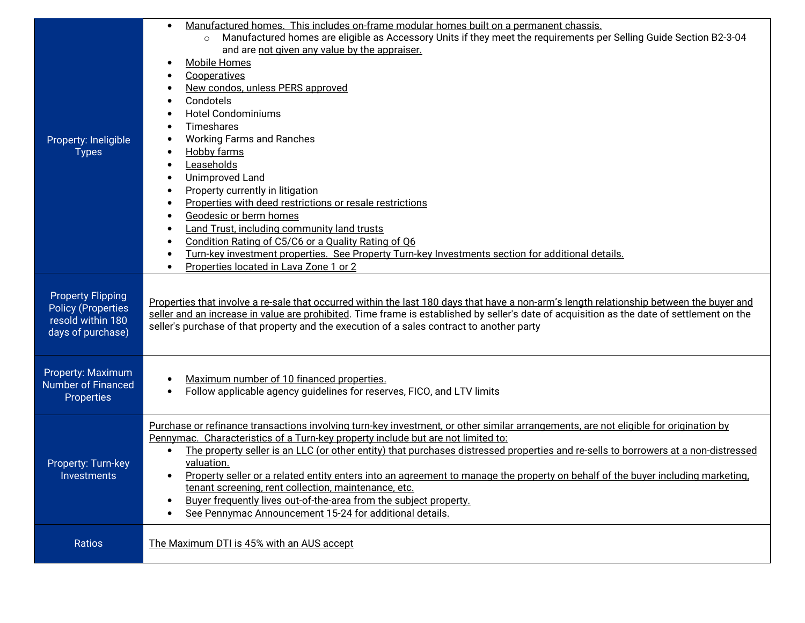| Property: Ineligible<br><b>Types</b>                                                            | Manufactured homes. This includes on-frame modular homes built on a permanent chassis.<br>$\bullet$<br>Manufactured homes are eligible as Accessory Units if they meet the requirements per Selling Guide Section B2-3-04<br>$\circ$<br>and are not given any value by the appraiser.<br><b>Mobile Homes</b><br>$\bullet$<br>Cooperatives<br>New condos, unless PERS approved<br>Condotels<br><b>Hotel Condominiums</b><br><b>Timeshares</b><br><b>Working Farms and Ranches</b><br>Hobby farms<br>$\bullet$<br>Leaseholds<br><b>Unimproved Land</b><br>$\bullet$<br>Property currently in litigation<br>$\bullet$<br>Properties with deed restrictions or resale restrictions<br>٠<br>Geodesic or berm homes<br>$\bullet$<br>Land Trust, including community land trusts<br>٠<br>Condition Rating of C5/C6 or a Quality Rating of Q6<br>Turn-key investment properties. See Property Turn-key Investments section for additional details.<br>$\bullet$<br>Properties located in Lava Zone 1 or 2<br>$\bullet$ |  |
|-------------------------------------------------------------------------------------------------|----------------------------------------------------------------------------------------------------------------------------------------------------------------------------------------------------------------------------------------------------------------------------------------------------------------------------------------------------------------------------------------------------------------------------------------------------------------------------------------------------------------------------------------------------------------------------------------------------------------------------------------------------------------------------------------------------------------------------------------------------------------------------------------------------------------------------------------------------------------------------------------------------------------------------------------------------------------------------------------------------------------|--|
| <b>Property Flipping</b><br><b>Policy (Properties</b><br>resold within 180<br>days of purchase) | Properties that involve a re-sale that occurred within the last 180 days that have a non-arm's length relationship between the buyer and<br>seller and an increase in value are prohibited. Time frame is established by seller's date of acquisition as the date of settlement on the<br>seller's purchase of that property and the execution of a sales contract to another party                                                                                                                                                                                                                                                                                                                                                                                                                                                                                                                                                                                                                            |  |
| Property: Maximum<br><b>Number of Financed</b><br><b>Properties</b>                             | Maximum number of 10 financed properties.<br>$\bullet$<br>Follow applicable agency guidelines for reserves, FICO, and LTV limits<br>$\bullet$                                                                                                                                                                                                                                                                                                                                                                                                                                                                                                                                                                                                                                                                                                                                                                                                                                                                  |  |
| Property: Turn-key<br><b>Investments</b>                                                        | Purchase or refinance transactions involving turn-key investment, or other similar arrangements, are not eligible for origination by<br>Pennymac. Characteristics of a Turn-key property include but are not limited to:<br>The property seller is an LLC (or other entity) that purchases distressed properties and re-sells to borrowers at a non-distressed<br>valuation.<br>Property seller or a related entity enters into an agreement to manage the property on behalf of the buyer including marketing,<br>$\bullet$<br>tenant screening, rent collection, maintenance, etc.<br>Buyer frequently lives out-of-the-area from the subject property.<br>$\bullet$<br>See Pennymac Announcement 15-24 for additional details.<br>$\bullet$                                                                                                                                                                                                                                                                 |  |
| Ratios                                                                                          | The Maximum DTI is 45% with an AUS accept                                                                                                                                                                                                                                                                                                                                                                                                                                                                                                                                                                                                                                                                                                                                                                                                                                                                                                                                                                      |  |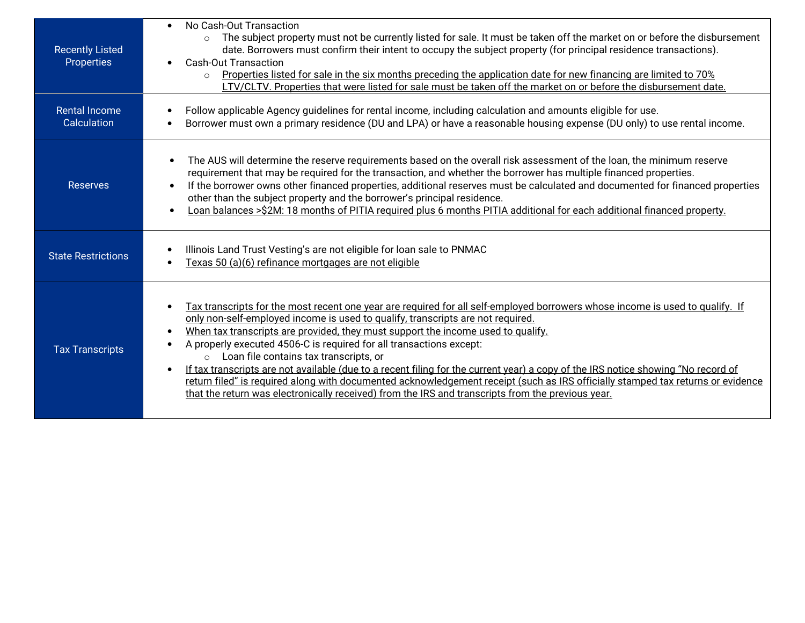| <b>Recently Listed</b><br>Properties | No Cash-Out Transaction<br>$\bullet$<br>The subject property must not be currently listed for sale. It must be taken off the market on or before the disbursement<br>$\circ$<br>date. Borrowers must confirm their intent to occupy the subject property (for principal residence transactions).<br><b>Cash-Out Transaction</b><br>Properties listed for sale in the six months preceding the application date for new financing are limited to 70%<br>LTV/CLTV. Properties that were listed for sale must be taken off the market on or before the disbursement date.                                                                                                                                                                                                                                        |
|--------------------------------------|---------------------------------------------------------------------------------------------------------------------------------------------------------------------------------------------------------------------------------------------------------------------------------------------------------------------------------------------------------------------------------------------------------------------------------------------------------------------------------------------------------------------------------------------------------------------------------------------------------------------------------------------------------------------------------------------------------------------------------------------------------------------------------------------------------------|
| <b>Rental Income</b><br>Calculation  | Follow applicable Agency guidelines for rental income, including calculation and amounts eligible for use.<br>Borrower must own a primary residence (DU and LPA) or have a reasonable housing expense (DU only) to use rental income.                                                                                                                                                                                                                                                                                                                                                                                                                                                                                                                                                                         |
| <b>Reserves</b>                      | The AUS will determine the reserve requirements based on the overall risk assessment of the loan, the minimum reserve<br>$\bullet$<br>requirement that may be required for the transaction, and whether the borrower has multiple financed properties.<br>If the borrower owns other financed properties, additional reserves must be calculated and documented for financed properties<br>other than the subject property and the borrower's principal residence.<br>Loan balances > \$2M: 18 months of PITIA required plus 6 months PITIA additional for each additional financed property.<br>$\bullet$                                                                                                                                                                                                    |
| <b>State Restrictions</b>            | Illinois Land Trust Vesting's are not eligible for loan sale to PNMAC<br>Texas 50 (a)(6) refinance mortgages are not eligible<br>$\bullet$                                                                                                                                                                                                                                                                                                                                                                                                                                                                                                                                                                                                                                                                    |
| <b>Tax Transcripts</b>               | Tax transcripts for the most recent one year are required for all self-employed borrowers whose income is used to qualify. If<br>only non-self-employed income is used to qualify, transcripts are not required.<br>When tax transcripts are provided, they must support the income used to qualify.<br>A properly executed 4506-C is required for all transactions except:<br>Loan file contains tax transcripts, or<br>$\circ$<br>If tax transcripts are not available (due to a recent filing for the current year) a copy of the IRS notice showing "No record of<br>return filed" is required along with documented acknowledgement receipt (such as IRS officially stamped tax returns or evidence<br>that the return was electronically received) from the IRS and transcripts from the previous year. |